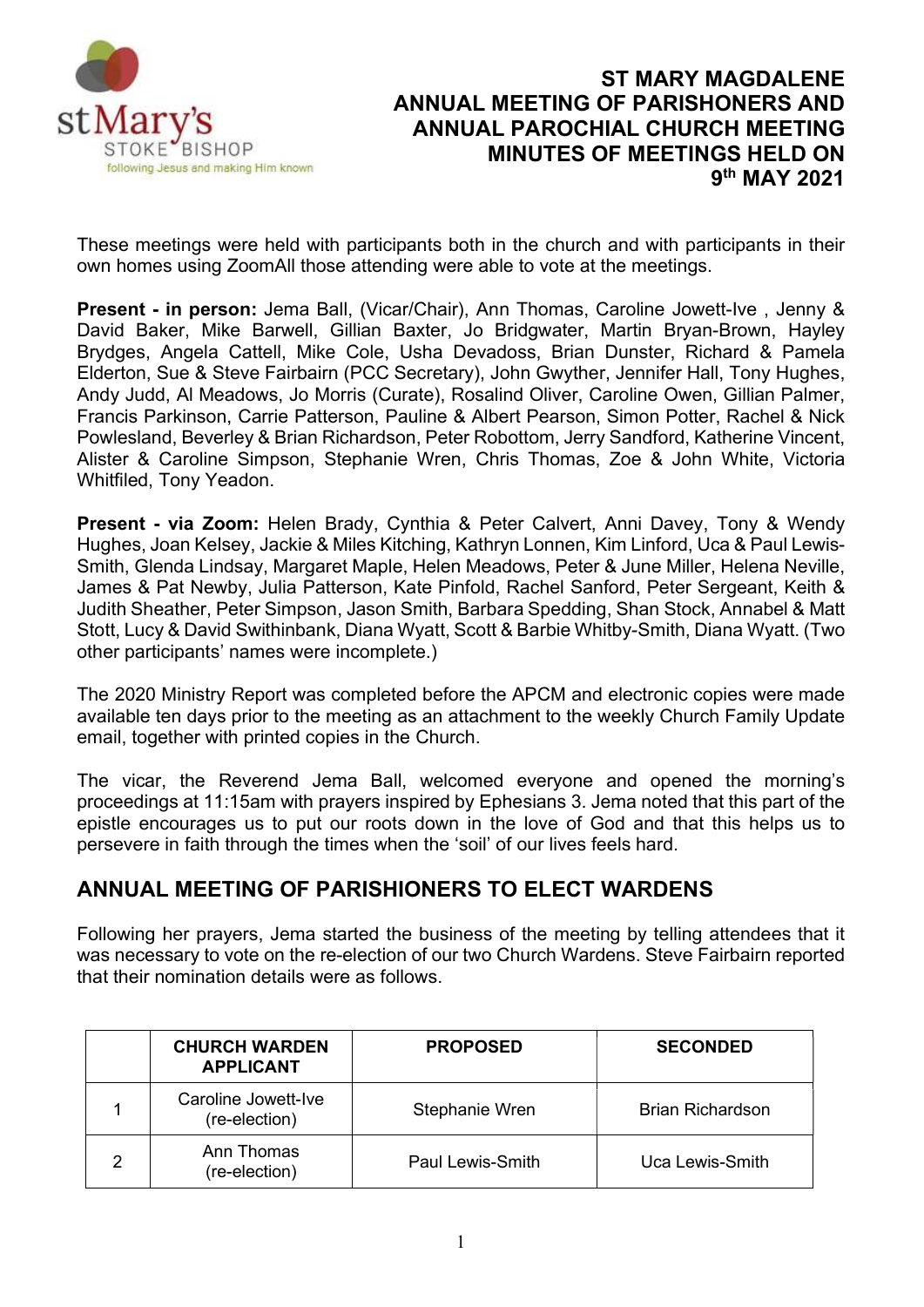

# ST MARY MAGDALENE ANNUAL MEETING OF PARISHONERS AND ANNUAL PAROCHIAL CHURCH MEETING MINUTES OF MEETINGS HELD ON 9<sup>th</sup> MAY 2021

These meetings were held with participants both in the church and with participants in their own homes using ZoomAll those attending were able to vote at the meetings.

Present - in person: Jema Ball, (Vicar/Chair), Ann Thomas, Caroline Jowett-Ive , Jenny & David Baker, Mike Barwell, Gillian Baxter, Jo Bridgwater, Martin Bryan-Brown, Hayley Brydges, Angela Cattell, Mike Cole, Usha Devadoss, Brian Dunster, Richard & Pamela Elderton, Sue & Steve Fairbairn (PCC Secretary), John Gwyther, Jennifer Hall, Tony Hughes, Andy Judd, Al Meadows, Jo Morris (Curate), Rosalind Oliver, Caroline Owen, Gillian Palmer, Francis Parkinson, Carrie Patterson, Pauline & Albert Pearson, Simon Potter, Rachel & Nick Powlesland, Beverley & Brian Richardson, Peter Robottom, Jerry Sandford, Katherine Vincent, Alister & Caroline Simpson, Stephanie Wren, Chris Thomas, Zoe & John White, Victoria Whitfiled, Tony Yeadon.

Present - via Zoom: Helen Brady, Cynthia & Peter Calvert, Anni Davey, Tony & Wendy Hughes, Joan Kelsey, Jackie & Miles Kitching, Kathryn Lonnen, Kim Linford, Uca & Paul Lewis-Smith, Glenda Lindsay, Margaret Maple, Helen Meadows, Peter & June Miller, Helena Neville, James & Pat Newby, Julia Patterson, Kate Pinfold, Rachel Sanford, Peter Sergeant, Keith & Judith Sheather, Peter Simpson, Jason Smith, Barbara Spedding, Shan Stock, Annabel & Matt Stott, Lucy & David Swithinbank, Diana Wyatt, Scott & Barbie Whitby-Smith, Diana Wyatt. (Two other participants' names were incomplete.)

The 2020 Ministry Report was completed before the APCM and electronic copies were made available ten days prior to the meeting as an attachment to the weekly Church Family Update email, together with printed copies in the Church.

The vicar, the Reverend Jema Ball, welcomed everyone and opened the morning's proceedings at 11:15am with prayers inspired by Ephesians 3. Jema noted that this part of the epistle encourages us to put our roots down in the love of God and that this helps us to persevere in faith through the times when the 'soil' of our lives feels hard.

# ANNUAL MEETING OF PARISHIONERS TO ELECT WARDENS

Following her prayers, Jema started the business of the meeting by telling attendees that it was necessary to vote on the re-election of our two Church Wardens. Steve Fairbairn reported that their nomination details were as follows.

|   | <b>CHURCH WARDEN</b><br><b>APPLICANT</b> | <b>PROPOSED</b>  | <b>SECONDED</b>  |
|---|------------------------------------------|------------------|------------------|
|   | Caroline Jowett-Ive<br>(re-election)     | Stephanie Wren   | Brian Richardson |
| ◠ | Ann Thomas<br>(re-election)              | Paul Lewis-Smith | Uca Lewis-Smith  |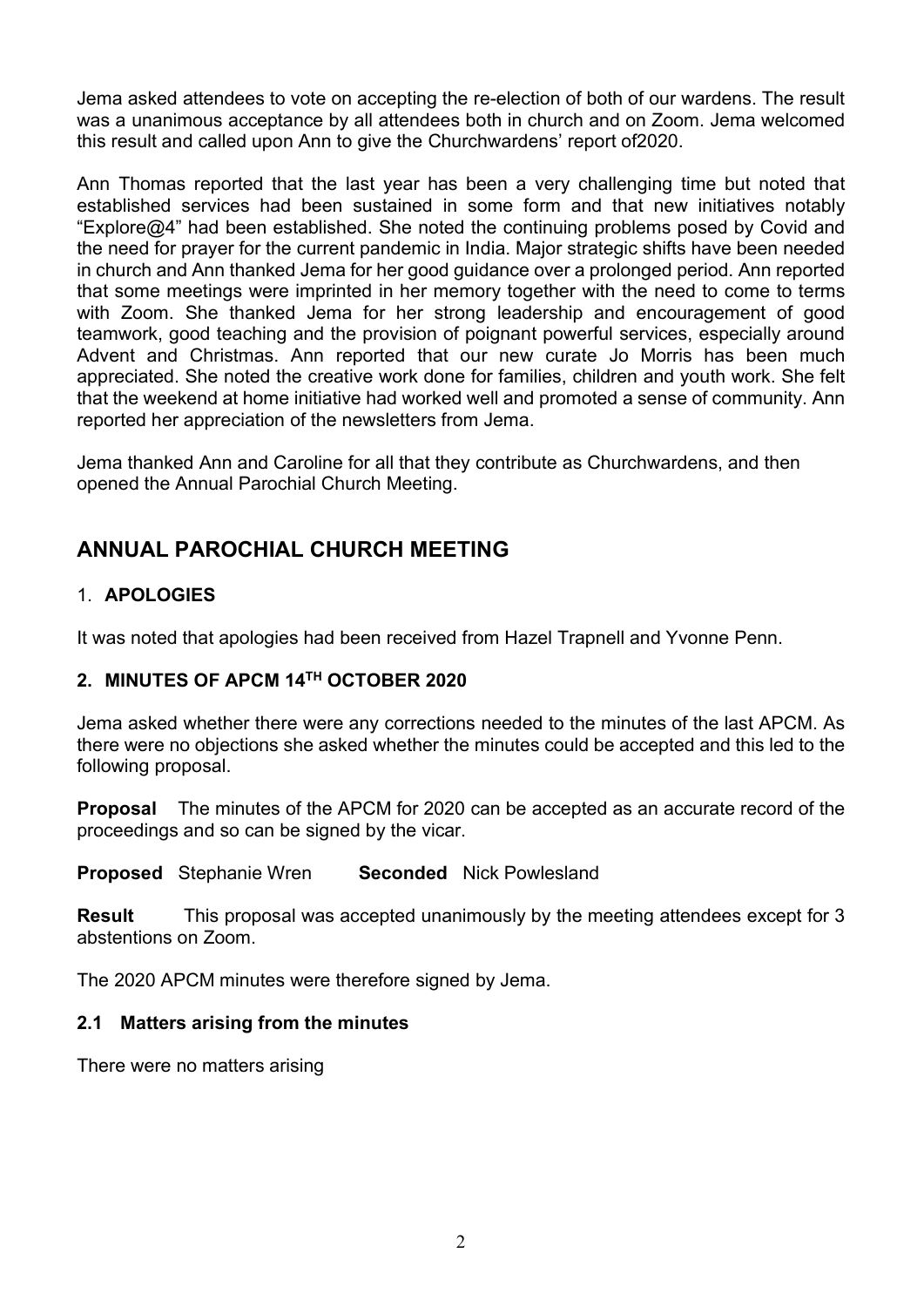Jema asked attendees to vote on accepting the re-election of both of our wardens. The result was a unanimous acceptance by all attendees both in church and on Zoom. Jema welcomed this result and called upon Ann to give the Churchwardens' report of2020.

Ann Thomas reported that the last year has been a very challenging time but noted that established services had been sustained in some form and that new initiatives notably "Explore@4" had been established. She noted the continuing problems posed by Covid and the need for prayer for the current pandemic in India. Major strategic shifts have been needed in church and Ann thanked Jema for her good guidance over a prolonged period. Ann reported that some meetings were imprinted in her memory together with the need to come to terms with Zoom. She thanked Jema for her strong leadership and encouragement of good teamwork, good teaching and the provision of poignant powerful services, especially around Advent and Christmas. Ann reported that our new curate Jo Morris has been much appreciated. She noted the creative work done for families, children and youth work. She felt that the weekend at home initiative had worked well and promoted a sense of community. Ann reported her appreciation of the newsletters from Jema.

Jema thanked Ann and Caroline for all that they contribute as Churchwardens, and then opened the Annual Parochial Church Meeting.

# ANNUAL PAROCHIAL CHURCH MEETING

# 1. APOLOGIES

It was noted that apologies had been received from Hazel Trapnell and Yvonne Penn.

### 2. MINUTES OF APCM 14TH OCTOBER 2020

Jema asked whether there were any corrections needed to the minutes of the last APCM. As there were no objections she asked whether the minutes could be accepted and this led to the following proposal.

**Proposal** The minutes of the APCM for 2020 can be accepted as an accurate record of the proceedings and so can be signed by the vicar.

Proposed Stephanie Wren Seconded Nick Powlesland

Result This proposal was accepted unanimously by the meeting attendees except for 3 abstentions on Zoom.

The 2020 APCM minutes were therefore signed by Jema.

### 2.1 Matters arising from the minutes

There were no matters arising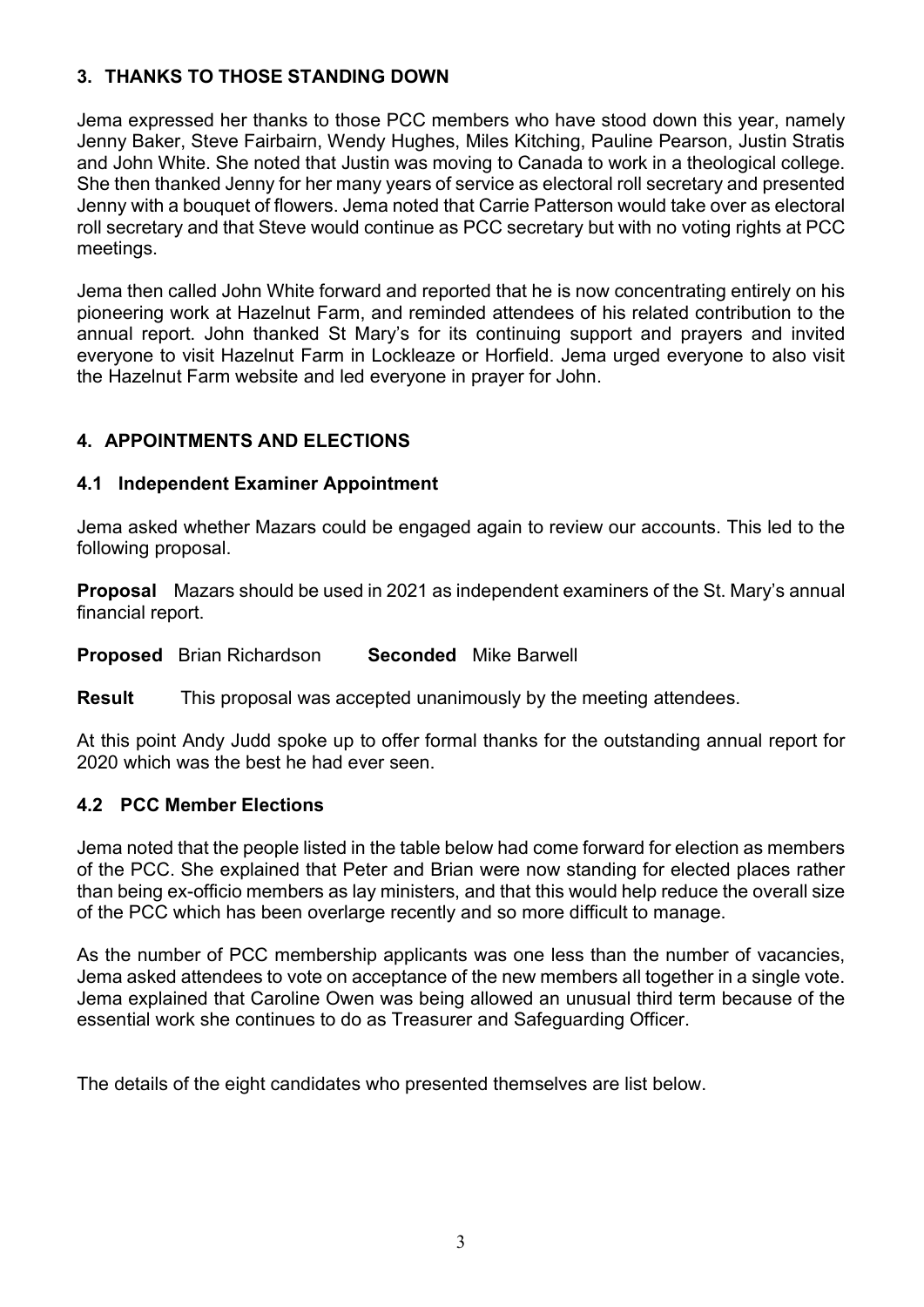# 3. THANKS TO THOSE STANDING DOWN

Jema expressed her thanks to those PCC members who have stood down this year, namely Jenny Baker, Steve Fairbairn, Wendy Hughes, Miles Kitching, Pauline Pearson, Justin Stratis and John White. She noted that Justin was moving to Canada to work in a theological college. She then thanked Jenny for her many years of service as electoral roll secretary and presented Jenny with a bouquet of flowers. Jema noted that Carrie Patterson would take over as electoral roll secretary and that Steve would continue as PCC secretary but with no voting rights at PCC meetings.

Jema then called John White forward and reported that he is now concentrating entirely on his pioneering work at Hazelnut Farm, and reminded attendees of his related contribution to the annual report. John thanked St Mary's for its continuing support and prayers and invited everyone to visit Hazelnut Farm in Lockleaze or Horfield. Jema urged everyone to also visit the Hazelnut Farm website and led everyone in prayer for John.

## 4. APPOINTMENTS AND ELECTIONS

### 4.1 Independent Examiner Appointment

Jema asked whether Mazars could be engaged again to review our accounts. This led to the following proposal.

Proposal Mazars should be used in 2021 as independent examiners of the St. Mary's annual financial report.

Proposed Brian Richardson Seconded Mike Barwell

**Result** This proposal was accepted unanimously by the meeting attendees.

At this point Andy Judd spoke up to offer formal thanks for the outstanding annual report for 2020 which was the best he had ever seen.

### 4.2 PCC Member Elections

Jema noted that the people listed in the table below had come forward for election as members of the PCC. She explained that Peter and Brian were now standing for elected places rather than being ex-officio members as lay ministers, and that this would help reduce the overall size of the PCC which has been overlarge recently and so more difficult to manage.

As the number of PCC membership applicants was one less than the number of vacancies, Jema asked attendees to vote on acceptance of the new members all together in a single vote. Jema explained that Caroline Owen was being allowed an unusual third term because of the essential work she continues to do as Treasurer and Safeguarding Officer.

The details of the eight candidates who presented themselves are list below.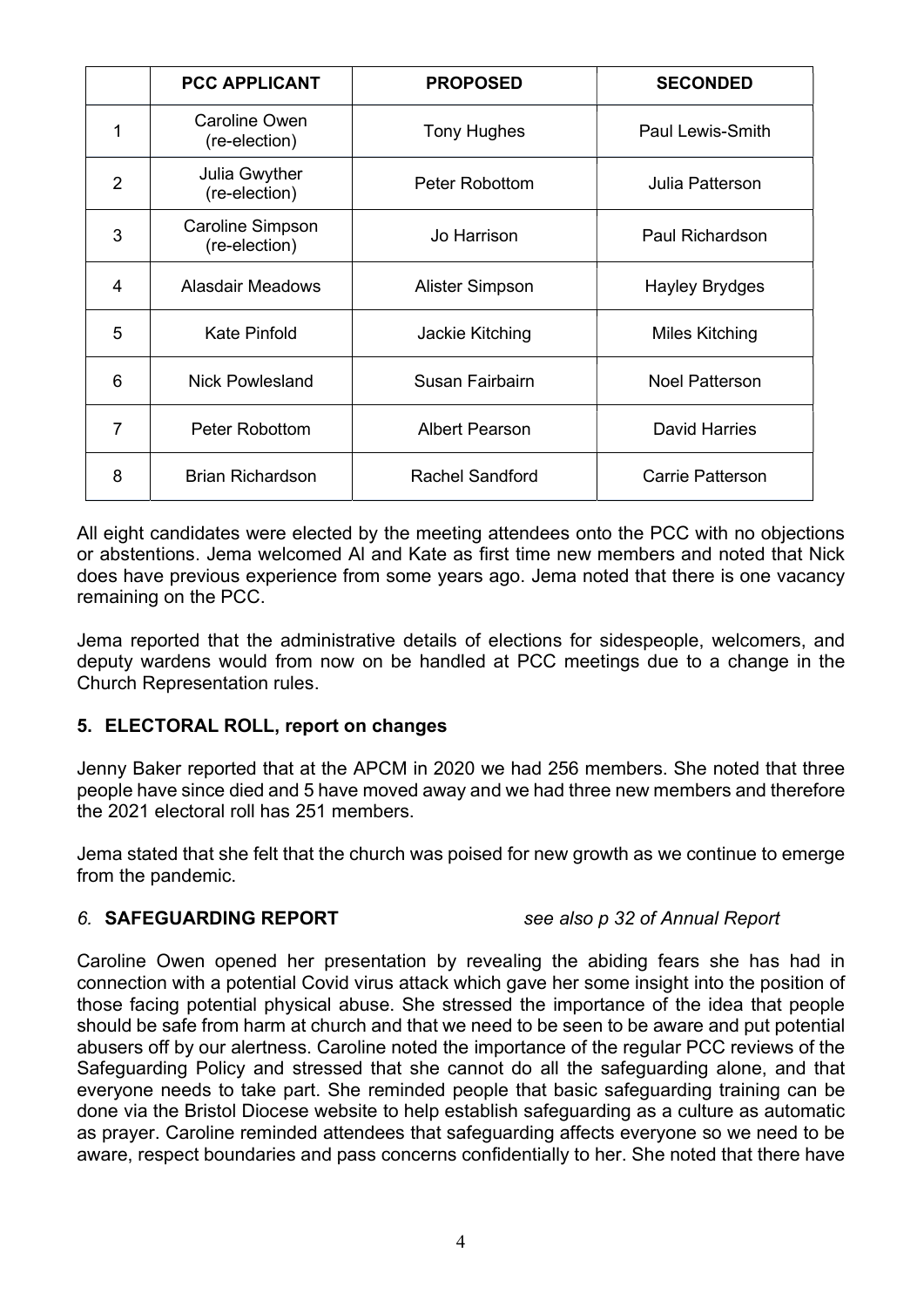|                | <b>PCC APPLICANT</b>                     | <b>PROPOSED</b>        | <b>SECONDED</b>         |
|----------------|------------------------------------------|------------------------|-------------------------|
| 1              | Caroline Owen<br>(re-election)           | <b>Tony Hughes</b>     | <b>Paul Lewis-Smith</b> |
| $\overline{2}$ | Julia Gwyther<br>(re-election)           | Peter Robottom         | Julia Patterson         |
| 3              | <b>Caroline Simpson</b><br>(re-election) | Jo Harrison            | <b>Paul Richardson</b>  |
| 4              | Alasdair Meadows                         | Alister Simpson        | <b>Hayley Brydges</b>   |
| 5              | <b>Kate Pinfold</b>                      | Jackie Kitching        | <b>Miles Kitching</b>   |
| 6              | <b>Nick Powlesland</b>                   | Susan Fairbairn        | <b>Noel Patterson</b>   |
| 7              | Peter Robottom                           | <b>Albert Pearson</b>  | <b>David Harries</b>    |
| 8              | <b>Brian Richardson</b>                  | <b>Rachel Sandford</b> | <b>Carrie Patterson</b> |

All eight candidates were elected by the meeting attendees onto the PCC with no objections or abstentions. Jema welcomed Al and Kate as first time new members and noted that Nick does have previous experience from some years ago. Jema noted that there is one vacancy remaining on the PCC.

Jema reported that the administrative details of elections for sidespeople, welcomers, and deputy wardens would from now on be handled at PCC meetings due to a change in the Church Representation rules.

### 5. ELECTORAL ROLL, report on changes

Jenny Baker reported that at the APCM in 2020 we had 256 members. She noted that three people have since died and 5 have moved away and we had three new members and therefore the 2021 electoral roll has 251 members.

Jema stated that she felt that the church was poised for new growth as we continue to emerge from the pandemic.

### 6. SAFEGUARDING REPORT see also p 32 of Annual Report

Caroline Owen opened her presentation by revealing the abiding fears she has had in connection with a potential Covid virus attack which gave her some insight into the position of those facing potential physical abuse. She stressed the importance of the idea that people should be safe from harm at church and that we need to be seen to be aware and put potential abusers off by our alertness. Caroline noted the importance of the regular PCC reviews of the Safeguarding Policy and stressed that she cannot do all the safeguarding alone, and that everyone needs to take part. She reminded people that basic safeguarding training can be done via the Bristol Diocese website to help establish safeguarding as a culture as automatic as prayer. Caroline reminded attendees that safeguarding affects everyone so we need to be aware, respect boundaries and pass concerns confidentially to her. She noted that there have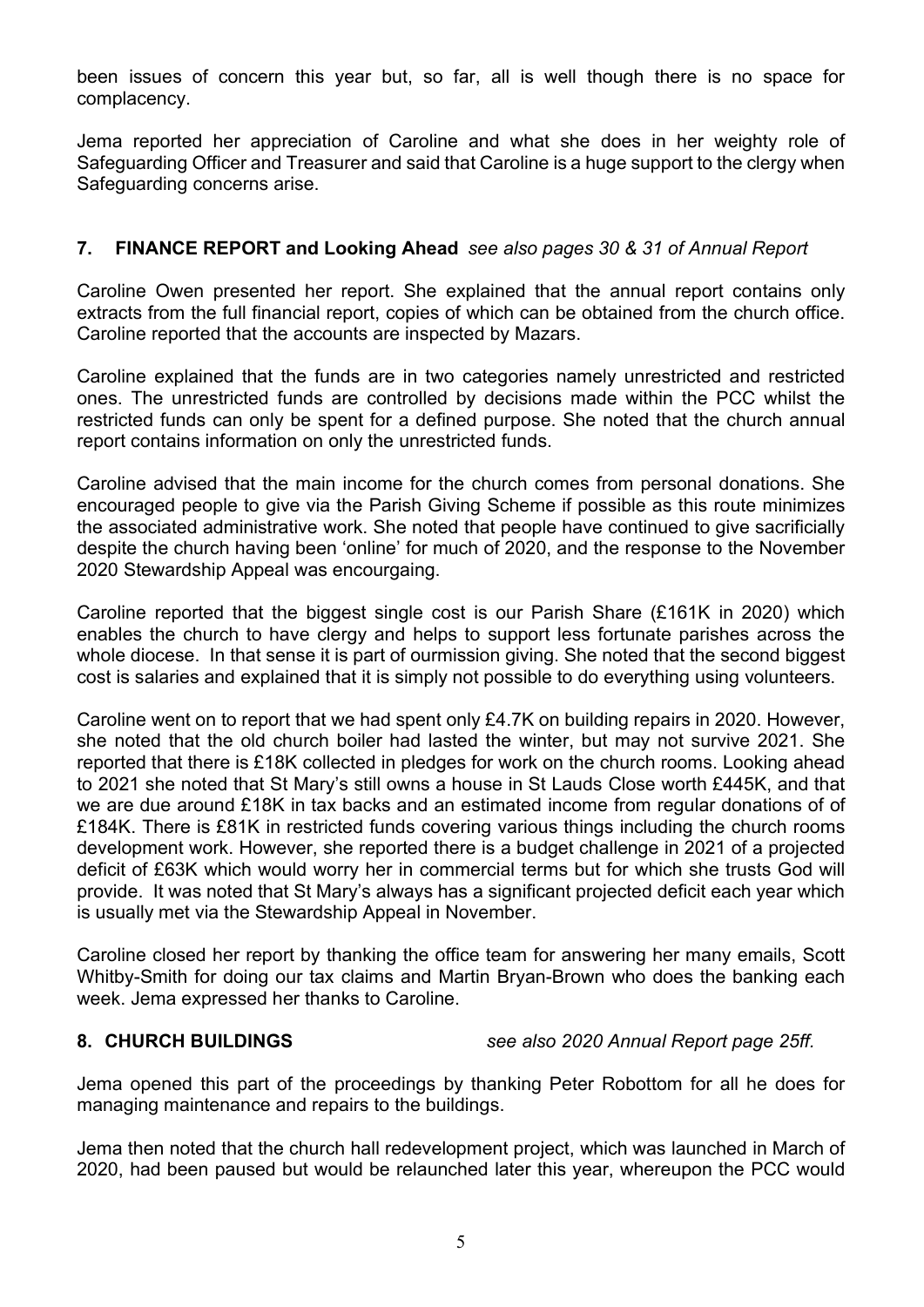been issues of concern this year but, so far, all is well though there is no space for complacency.

Jema reported her appreciation of Caroline and what she does in her weighty role of Safeguarding Officer and Treasurer and said that Caroline is a huge support to the clergy when Safeguarding concerns arise.

### 7. FINANCE REPORT and Looking Ahead see also pages 30 & 31 of Annual Report

Caroline Owen presented her report. She explained that the annual report contains only extracts from the full financial report, copies of which can be obtained from the church office. Caroline reported that the accounts are inspected by Mazars.

Caroline explained that the funds are in two categories namely unrestricted and restricted ones. The unrestricted funds are controlled by decisions made within the PCC whilst the restricted funds can only be spent for a defined purpose. She noted that the church annual report contains information on only the unrestricted funds.

Caroline advised that the main income for the church comes from personal donations. She encouraged people to give via the Parish Giving Scheme if possible as this route minimizes the associated administrative work. She noted that people have continued to give sacrificially despite the church having been 'online' for much of 2020, and the response to the November 2020 Stewardship Appeal was encourgaing.

Caroline reported that the biggest single cost is our Parish Share (£161K in 2020) which enables the church to have clergy and helps to support less fortunate parishes across the whole diocese. In that sense it is part of ourmission giving. She noted that the second biggest cost is salaries and explained that it is simply not possible to do everything using volunteers.

Caroline went on to report that we had spent only £4.7K on building repairs in 2020. However, she noted that the old church boiler had lasted the winter, but may not survive 2021. She reported that there is £18K collected in pledges for work on the church rooms. Looking ahead to 2021 she noted that St Mary's still owns a house in St Lauds Close worth £445K, and that we are due around £18K in tax backs and an estimated income from regular donations of of £184K. There is £81K in restricted funds covering various things including the church rooms development work. However, she reported there is a budget challenge in 2021 of a projected deficit of £63K which would worry her in commercial terms but for which she trusts God will provide. It was noted that St Mary's always has a significant projected deficit each year which is usually met via the Stewardship Appeal in November.

Caroline closed her report by thanking the office team for answering her many emails, Scott Whitby-Smith for doing our tax claims and Martin Bryan-Brown who does the banking each week. Jema expressed her thanks to Caroline.

### 8. CHURCH BUILDINGS see also 2020 Annual Report page 25ff.

Jema opened this part of the proceedings by thanking Peter Robottom for all he does for managing maintenance and repairs to the buildings.

Jema then noted that the church hall redevelopment project, which was launched in March of 2020, had been paused but would be relaunched later this year, whereupon the PCC would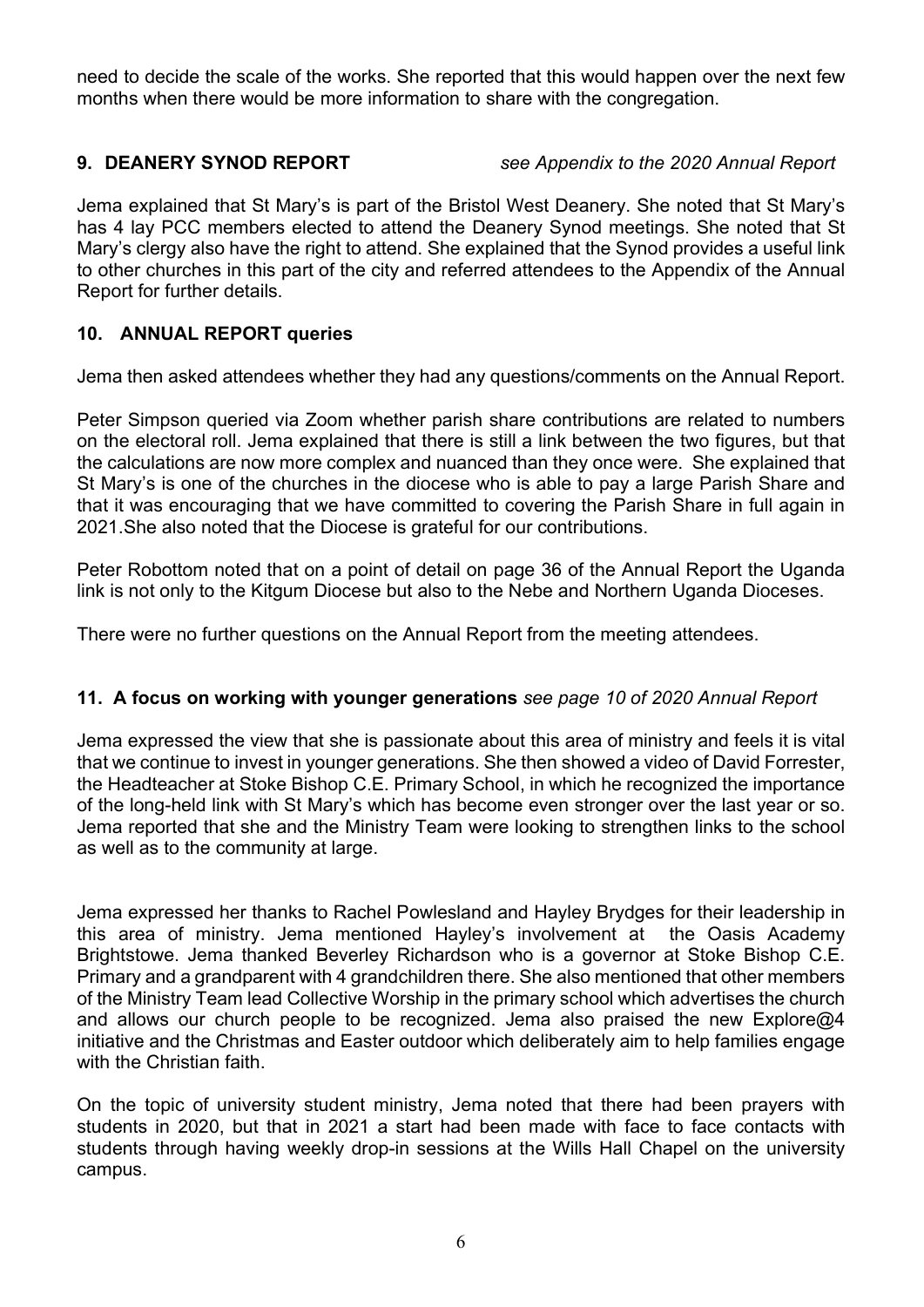need to decide the scale of the works. She reported that this would happen over the next few months when there would be more information to share with the congregation.

### 9. DEANERY SYNOD REPORT see Appendix to the 2020 Annual Report

Jema explained that St Mary's is part of the Bristol West Deanery. She noted that St Mary's has 4 lay PCC members elected to attend the Deanery Synod meetings. She noted that St Mary's clergy also have the right to attend. She explained that the Synod provides a useful link to other churches in this part of the city and referred attendees to the Appendix of the Annual Report for further details.

### 10. ANNUAL REPORT queries

Jema then asked attendees whether they had any questions/comments on the Annual Report.

Peter Simpson queried via Zoom whether parish share contributions are related to numbers on the electoral roll. Jema explained that there is still a link between the two figures, but that the calculations are now more complex and nuanced than they once were. She explained that St Mary's is one of the churches in the diocese who is able to pay a large Parish Share and that it was encouraging that we have committed to covering the Parish Share in full again in 2021.She also noted that the Diocese is grateful for our contributions.

Peter Robottom noted that on a point of detail on page 36 of the Annual Report the Uganda link is not only to the Kitgum Diocese but also to the Nebe and Northern Uganda Dioceses.

There were no further questions on the Annual Report from the meeting attendees.

### 11. A focus on working with younger generations see page 10 of 2020 Annual Report

Jema expressed the view that she is passionate about this area of ministry and feels it is vital that we continue to invest in younger generations. She then showed a video of David Forrester, the Headteacher at Stoke Bishop C.E. Primary School, in which he recognized the importance of the long-held link with St Mary's which has become even stronger over the last year or so. Jema reported that she and the Ministry Team were looking to strengthen links to the school as well as to the community at large.

Jema expressed her thanks to Rachel Powlesland and Hayley Brydges for their leadership in this area of ministry. Jema mentioned Hayley's involvement at the Oasis Academy Brightstowe. Jema thanked Beverley Richardson who is a governor at Stoke Bishop C.E. Primary and a grandparent with 4 grandchildren there. She also mentioned that other members of the Ministry Team lead Collective Worship in the primary school which advertises the church and allows our church people to be recognized. Jema also praised the new Explore@4 initiative and the Christmas and Easter outdoor which deliberately aim to help families engage with the Christian faith.

On the topic of university student ministry, Jema noted that there had been prayers with students in 2020, but that in 2021 a start had been made with face to face contacts with students through having weekly drop-in sessions at the Wills Hall Chapel on the university campus.